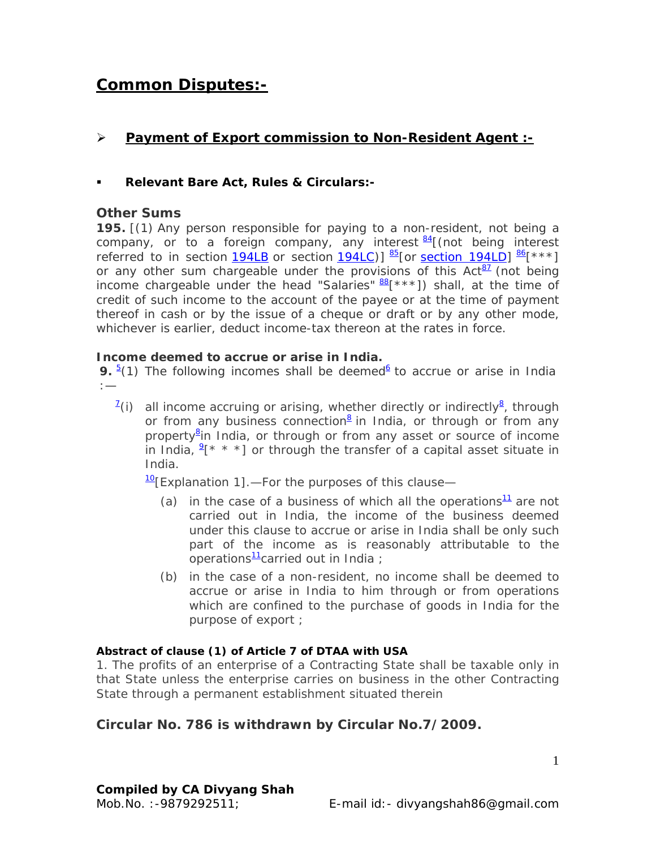# **Common Disputes:-**

## ¾ **Payment of Export commission to Non-Resident Agent :-**

## **Relevant Bare Act, Rules & Circulars:-**

## **Other Sums**

**195.** [(1) Any person responsible for paying to a non-resident, not being a company, or to a foreign company, any interest  $\frac{84}{1}$  (not being interest referred to in section 194LB or section 194LC)]  $\frac{85}{5}$  [or section 194LD]  $\frac{86}{5}$  [\*\*\*] or any other sum chargeable under the provisions of this  $Act^{\frac{87}{2}}$  (not being income chargeable under the head "Salaries"  $\frac{88}{1}$  \*\*\*]) shall, at the time of credit of such income to the account of the payee or at the time of payment thereof in cash or by the issue of a cheque or draft or by any other mode, whichever is earlier, deduct income-tax thereon at the rates in force.

#### **Income deemed to accrue or arise in India.**

**9.**  $\frac{5}{1}$  The following incomes shall be deemed $\frac{6}{1}$  to accrue or arise in India :—

<sup>7</sup>(i) all income accruing or arising, whether directly or indirectly<sup>8</sup>, through or from any business connection<sup>8</sup> in India, or through or from any property<sup>8</sup>in India, or through or from any asset or source of income in India,  $2[x * *]$  or through the transfer of a capital asset situate in India.

10[*Explanation 1*].—For the purposes of this clause—

- (*a*) in the case of a business of which all the operations<sup>11</sup> are not carried out in India, the income of the business deemed under this clause to accrue or arise in India shall be only such part of the income as is reasonably attributable to the operations $\frac{11}{2}$ carried out in India ;
- (*b*) in the case of a non-resident, no income shall be deemed to accrue or arise in India to him through or from operations which are confined to the purchase of goods in India for the purpose of export ;

#### **Abstract of clause (1) of Article 7 of DTAA with USA**

*1.* The profits of an enterprise of a Contracting State shall be taxable only in that State unless the enterprise carries on business in the other Contracting State through a permanent establishment situated therein

## **Circular No. 786 is withdrawn by Circular No.7/2009.**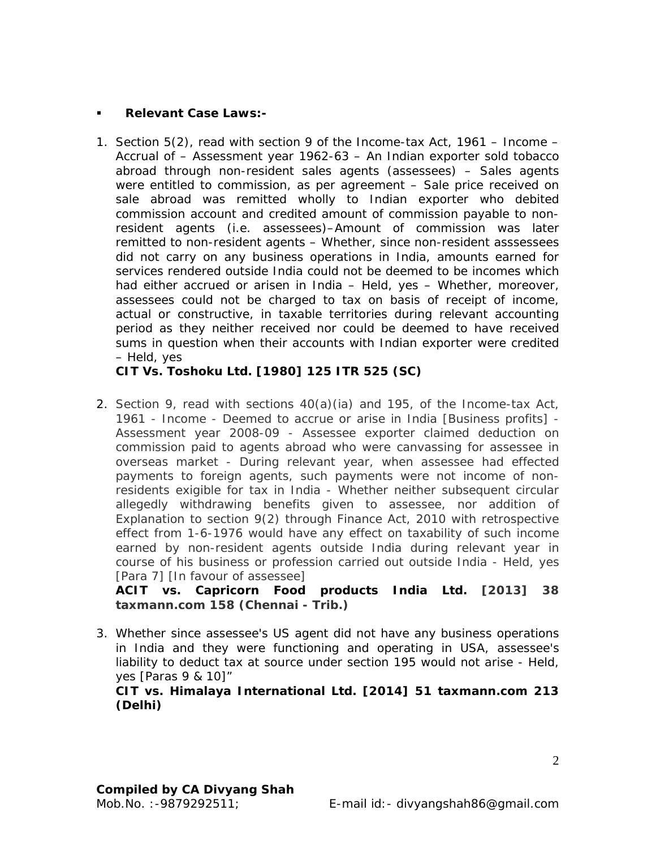#### **Relevant Case Laws:-**

1. Section 5(2), read with section 9 of the Income-tax Act, 1961 – Income – Accrual of – Assessment year 1962-63 – An Indian exporter sold tobacco abroad through non-resident sales agents (assessees) – Sales agents were entitled to commission, as per agreement – Sale price received on sale abroad was remitted wholly to Indian exporter who debited commission account and credited amount of commission payable to nonresident agents (i.e. assessees)–Amount of commission was later remitted to non-resident agents – Whether, since non-resident asssessees did not carry on any business operations in India, amounts earned for services rendered outside India could not be deemed to be incomes which had either accrued or arisen in India – Held, yes – Whether, moreover, assessees could not be charged to tax on basis of receipt of income, actual or constructive, in taxable territories during relevant accounting period as they neither received nor could be deemed to have received sums in question when their accounts with Indian exporter were credited – Held, yes

**CIT Vs. Toshoku Ltd. [1980] 125 ITR 525 (SC)** 

2. Section 9, read with sections 40(a)(ia) and 195, of the Income-tax Act, 1961 - Income - Deemed to accrue or arise in India [Business profits] - Assessment year 2008-09 - Assessee exporter claimed deduction on commission paid to agents abroad who were canvassing for assessee in overseas market - During relevant year, when assessee had effected payments to foreign agents, such payments were not income of nonresidents exigible for tax in India - Whether neither subsequent circular allegedly withdrawing benefits given to assessee, nor addition of Explanation to section 9(2) through Finance Act, 2010 with retrospective effect from 1-6-1976 would have any effect on taxability of such income earned by non-resident agents outside India during relevant year in course of his business or profession carried out outside India - Held, yes [Para 7] [In favour of assessee]

**ACIT vs. Capricorn Food products India Ltd. [2013] 38 taxmann.com 158 (Chennai - Trib.)** 

3. *Whether since assessee's US agent did not have any business operations in India and they were functioning and operating in USA, assessee's liability to deduct tax at source under section 195 would not arise - Held, yes [Paras 9 & 10]"* 

**CIT vs. Himalaya International Ltd. [2014] 51 taxmann.com 213 (Delhi)**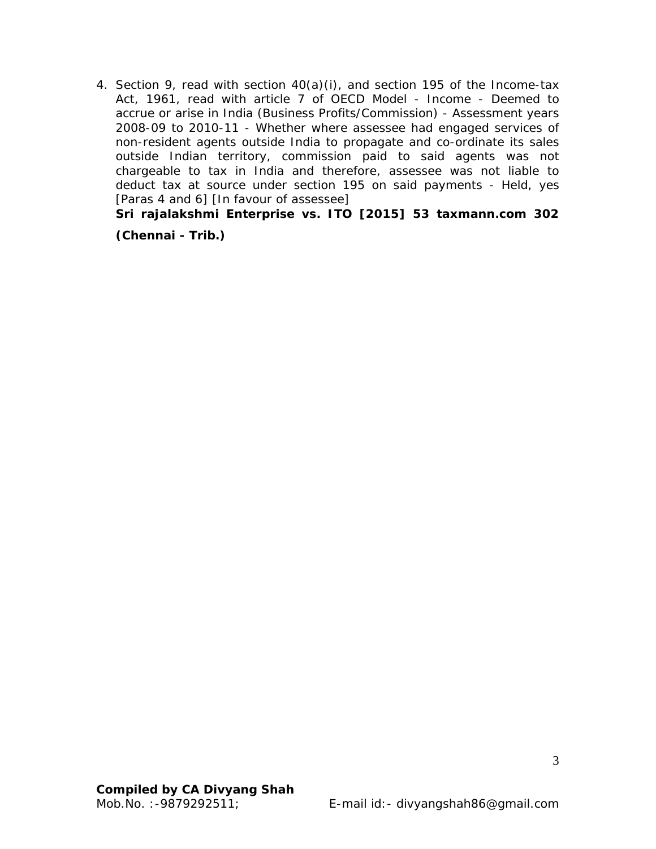4. Section 9, read with section 40(a)(i), and section 195 of the Income-tax Act, 1961, read with article 7 of OECD Model - Income - Deemed to accrue or arise in India (Business Profits/Commission) - Assessment years 2008-09 to 2010-11 - Whether where assessee had engaged services of non-resident agents outside India to propagate and co-ordinate its sales outside Indian territory, commission paid to said agents was not chargeable to tax in India and therefore, assessee was not liable to deduct tax at source under section 195 on said payments - Held, yes [Paras 4 and 6] [In favour of assessee]

**Sri rajalakshmi Enterprise vs. ITO [2015] 53 taxmann.com 302** 

**(Chennai - Trib.)**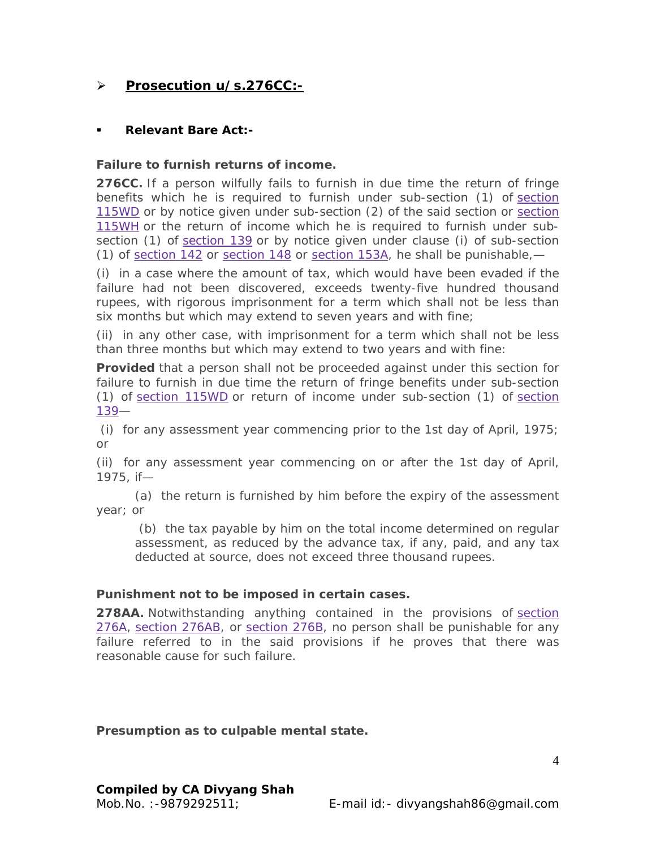## ¾ **Prosecution u/s.276CC:-**

## **Relevant Bare Act:-**

#### **Failure to furnish returns of income.**

**276CC.** If a person wilfully fails to furnish in due time the return of fringe benefits which he is required to furnish under sub-section (1) of section 115WD or by notice given under sub-section (2) of the said section or section 115WH or the return of income which he is required to furnish under subsection (1) of section 139 or by notice given under clause (*i*) of sub-section (1) of section 142 or section 148 or section 153A, he shall be punishable,—

(*i*) in a case where the amount of tax, which would have been evaded if the failure had not been discovered, exceeds twenty-five hundred thousand rupees, with rigorous imprisonment for a term which shall not be less than six months but which may extend to seven years and with fine;

(*ii*) in any other case, with imprisonment for a term which shall not be less than three months but which may extend to two years and with fine:

**Provided** that a person shall not be proceeded against under this section for failure to furnish in due time the return of fringe benefits under sub-section (1) of section 115WD or return of income under sub-section (1) of section 139—

 (*i*) for any assessment year commencing prior to the 1st day of April, 1975; or

(*ii*) for any assessment year commencing on or after the 1st day of April, 1975, if—

(*a*) the return is furnished by him before the expiry of the assessment year; or

 (*b*) the tax payable by him on the total income determined on regular assessment, as reduced by the advance tax, if any, paid, and any tax deducted at source, does not exceed three thousand rupees.

#### **Punishment not to be imposed in certain cases.**

**278AA.** Notwithstanding anything contained in the provisions of section 276A, section 276AB, or section 276B, no person shall be punishable for any failure referred to in the said provisions if he proves that there was reasonable cause for such failure.

**Presumption as to culpable mental state.**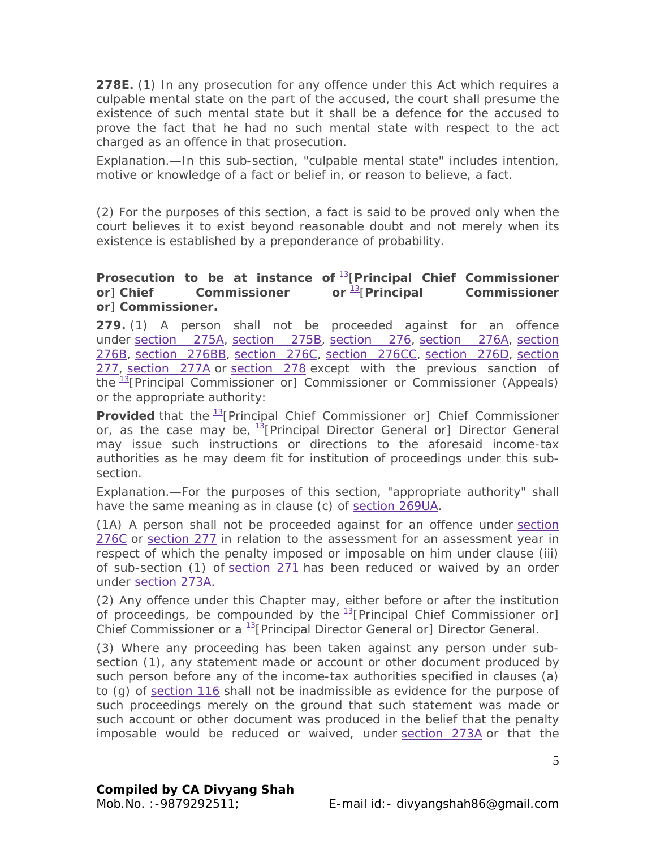**278E.** (1) In any prosecution for any offence under this Act which requires a culpable mental state on the part of the accused, the court shall presume the existence of such mental state but it shall be a defence for the accused to prove the fact that he had no such mental state with respect to the act charged as an offence in that prosecution.

*Explanation.*—In this sub-section, "culpable mental state" includes intention, motive or knowledge of a fact or belief in, or reason to believe, a fact.

(2) For the purposes of this section, a fact is said to be proved only when the court believes it to exist beyond reasonable doubt and not merely when its existence is established by a preponderance of probability.

## **Prosecution to be at instance of** 13[**Principal Chief Commissioner or**] **Chief Commissioner or** 13[**Principal Commissioner or**] **Commissioner.**

**279.** (1) A person shall not be proceeded against for an offence under section 275A, section 275B, section 276, section 276A, section 276B, section 276BB, section 276C, section 276CC, section 276D, section 277, section 277A or section 278 except with the previous sanction of the  $\frac{13}{2}$ [Principal Commissioner or] Commissioner or Commissioner (Appeals) or the appropriate authority:

**Provided** that the <sup>13</sup>[Principal Chief Commissioner or] Chief Commissioner or, as the case may be, <sup>13</sup>[Principal Director General or] Director General may issue such instructions or directions to the aforesaid income-tax authorities as he may deem fit for institution of proceedings under this subsection.

*Explanation.*—For the purposes of this section, "appropriate authority" shall have the same meaning as in clause (c) of section 269UA.

(1A) A person shall not be proceeded against for an offence under section 276C or section 277 in relation to the assessment for an assessment year in respect of which the penalty imposed or imposable on him under clause (*iii*) of sub-section (1) of section 271 has been reduced or waived by an order under section 273A.

(2) Any offence under this Chapter may, either before or after the institution of proceedings, be compounded by the  $^{13}$ [Principal Chief Commissioner or] Chief Commissioner or a  $^{13}$ [Principal Director General or] Director General.

(3) Where any proceeding has been taken against any person under subsection (1), any statement made or account or other document produced by such person before any of the income-tax authorities specified in clauses (*a*) to (*g*) of section 116 shall not be inadmissible as evidence for the purpose of such proceedings merely on the ground that such statement was made or such account or other document was produced in the belief that the penalty imposable would be reduced or waived, under section 273A or that the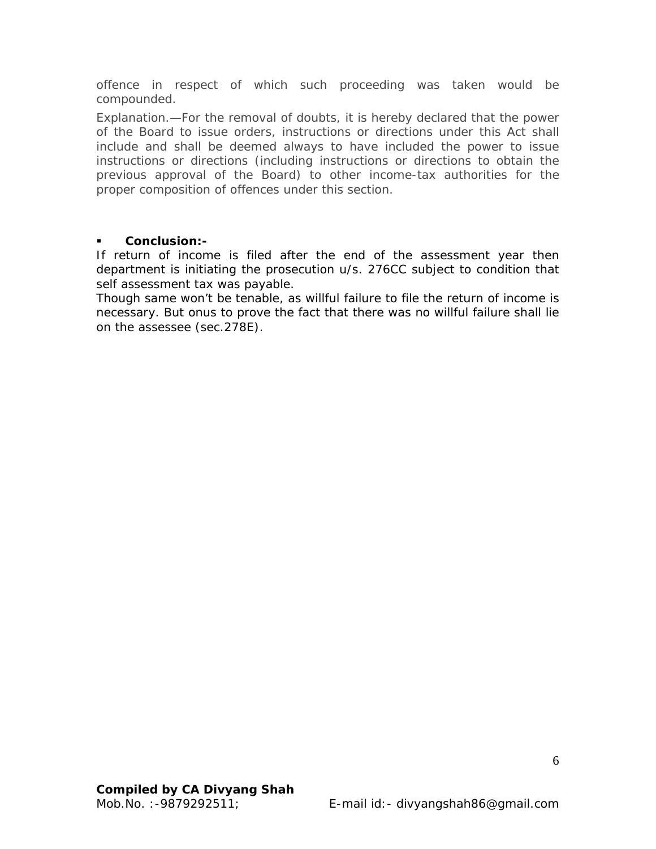offence in respect of which such proceeding was taken would be compounded.

*Explanation.*—For the removal of doubts, it is hereby declared that the power of the Board to issue orders, instructions or directions under this Act shall include and shall be deemed always to have included the power to issue instructions or directions (including instructions or directions to obtain the previous approval of the Board) to other income-tax authorities for the proper composition of offences under this section.

#### **Conclusion:-**

If return of income is filed after the end of the assessment year then department is initiating the prosecution u/s. 276CC subject to condition that self assessment tax was payable.

Though same won't be tenable, as willful failure to file the return of income is necessary. But onus to prove the fact that there was no willful failure shall lie on the assessee (sec.278E).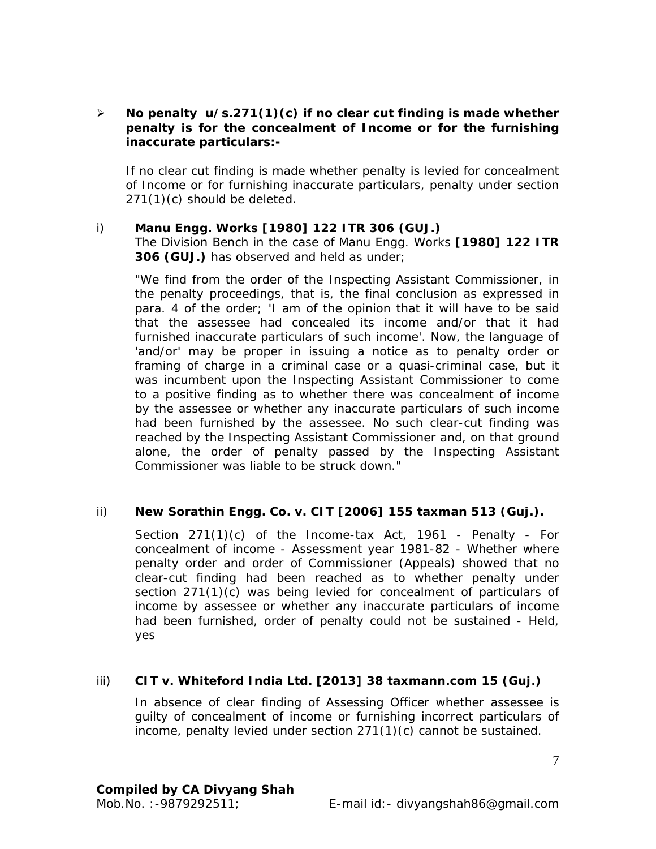## ¾ **No penalty u/s.271(1)(c) if no clear cut finding is made whether penalty is for the concealment of Income or for the furnishing inaccurate particulars:-**

If no clear cut finding is made whether penalty is levied for concealment of Income or for furnishing inaccurate particulars, penalty under section 271(1)(c) should be deleted.

## i) *Manu Engg. Works* **[1980] 122 ITR 306 (GUJ.)**

The Division Bench in the case of *Manu Engg. Works* **[1980] 122 ITR 306 (GUJ.)** has observed and held as under;

"We find from the order of the Inspecting Assistant Commissioner, in the penalty proceedings, that is, the final conclusion as expressed in para. 4 of the order; 'I am of the opinion that it will have to be said that the assessee had concealed its income and/or that it had furnished inaccurate particulars of such income'. Now, the language of 'and/or' may be proper in issuing a notice as to penalty order or framing of charge in a criminal case or a quasi-criminal case, but it was incumbent upon the Inspecting Assistant Commissioner to come to a positive finding as to whether there was concealment of income by the assessee or whether any inaccurate particulars of such income had been furnished by the assessee. No such clear-cut finding was reached by the Inspecting Assistant Commissioner and, on that ground alone, the order of penalty passed by the Inspecting Assistant Commissioner was liable to be struck down."

## ii) **New Sorathin Engg. Co. v. CIT [2006] 155 taxman 513 (Guj.).**

Section 271(1)(c) of the Income-tax Act, 1961 - Penalty - For concealment of income - Assessment year 1981-82 - Whether where penalty order and order of Commissioner (Appeals) showed that no clear-cut finding had been reached as to whether penalty under section 271(1)(c) was being levied for concealment of particulars of income by assessee or whether any inaccurate particulars of income had been furnished, order of penalty could not be sustained - Held, yes

## iii) **CIT v. Whiteford India Ltd. [2013] 38 taxmann.com 15 (Guj.)**

In absence of clear finding of Assessing Officer whether assessee is guilty of concealment of income or furnishing incorrect particulars of income, penalty levied under section 271(1)(c) cannot be sustained.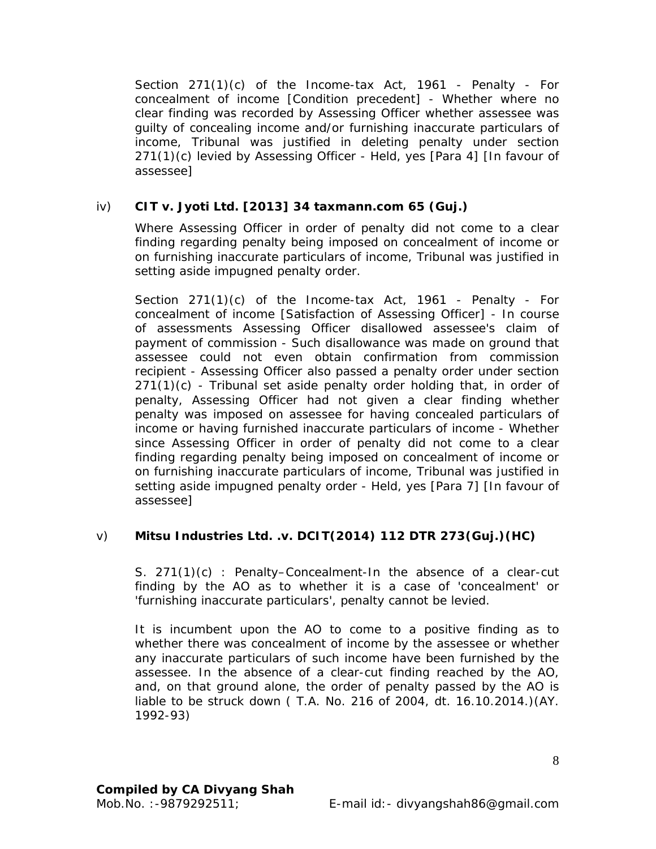Section 271(1)(c) of the Income-tax Act, 1961 - Penalty - For concealment of income [Condition precedent] - Whether where no clear finding was recorded by Assessing Officer whether assessee was guilty of concealing income and/or furnishing inaccurate particulars of income, Tribunal was justified in deleting penalty under section 271(1)(c) levied by Assessing Officer - Held, yes [Para 4] [In favour of assessee]

## iv) **CIT v. Jyoti Ltd. [2013] 34 taxmann.com 65 (Guj.)**

Where Assessing Officer in order of penalty did not come to a clear finding regarding penalty being imposed on concealment of income or on furnishing inaccurate particulars of income, Tribunal was justified in setting aside impugned penalty order.

Section 271(1)(c) of the Income-tax Act, 1961 - Penalty - For concealment of income [Satisfaction of Assessing Officer] - In course of assessments Assessing Officer disallowed assessee's claim of payment of commission - Such disallowance was made on ground that assessee could not even obtain confirmation from commission recipient - Assessing Officer also passed a penalty order under section  $271(1)(c)$  - Tribunal set aside penalty order holding that, in order of penalty, Assessing Officer had not given a clear finding whether penalty was imposed on assessee for having concealed particulars of income or having furnished inaccurate particulars of income - Whether since Assessing Officer in order of penalty did not come to a clear finding regarding penalty being imposed on concealment of income or on furnishing inaccurate particulars of income, Tribunal was justified in setting aside impugned penalty order - Held, yes [Para 7] [In favour of assessee]

## v) **Mitsu Industries Ltd. .v. DCIT(2014) 112 DTR 273(Guj.)(HC)**

S. 271(1)(c) : Penalty–Concealment-In the absence of a clear-cut finding by the AO as to whether it is a case of 'concealment' or 'furnishing inaccurate particulars', penalty cannot be levied.

It is incumbent upon the AO to come to a positive finding as to whether there was concealment of income by the assessee or whether any inaccurate particulars of such income have been furnished by the assessee. In the absence of a clear-cut finding reached by the AO, and, on that ground alone, the order of penalty passed by the AO is liable to be struck down ( T.A. No. 216 of 2004, dt. 16.10.2014.)(AY. 1992-93)